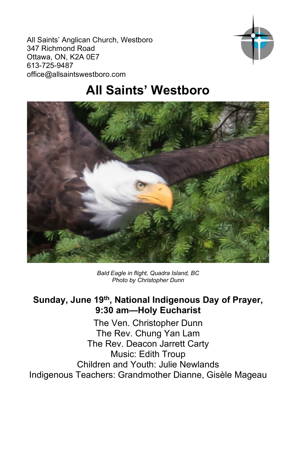All Saints' Anglican Church, Westboro 347 Richmond Road Ottawa, ON, K2A 0E7 613-725-9487 office@allsaintswestboro.com



# **All Saints' Westboro**



*Bald Eagle in flight, Quadra Island, BC Photo by Christopher Dunn*

## **Sunday, June 19th, National Indigenous Day of Prayer, 9:30 am—Holy Eucharist**

The Ven. Christopher Dunn The Rev. Chung Yan Lam The Rev. Deacon Jarrett Carty Music: Edith Troup Children and Youth: Julie Newlands Indigenous Teachers: Grandmother Dianne, Gisèle Mageau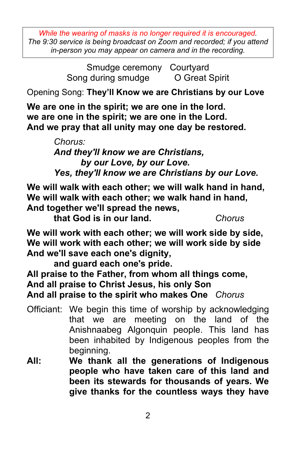*While the wearing of masks is no longer required it is encouraged. The 9:30 service is being broadcast on Zoom and recorded; if you attend in-person you may appear on camera and in the recording.*

> Smudge ceremony Courtyard Song during smudge **O** Great Spirit

Opening Song: **They'll Know we are Christians by our Love** 

**We are one in the spirit; we are one in the lord. we are one in the spirit; we are one in the Lord. And we pray that all unity may one day be restored.**

> *Chorus: And they'll know we are Christians, by our Love, by our Love. Yes, they'll know we are Christians by our Love.*

**We will walk with each other; we will walk hand in hand, We will walk with each other; we walk hand in hand, And together we'll spread the news,** 

**that God is in our land.** *Chorus*

**We will work with each other; we will work side by side, We will work with each other; we will work side by side And we'll save each one's dignity,** 

**and guard each one's pride.**

**All praise to the Father, from whom all things come,**

**And all praise to Christ Jesus, his only Son**

**And all praise to the spirit who makes One** *Chorus*

- Officiant: We begin this time of worship by acknowledging that we are meeting on the land of the Anishnaabeg Algonquin people. This land has been inhabited by Indigenous peoples from the beginning.
- **All: We thank all the generations of Indigenous people who have taken care of this land and been its stewards for thousands of years. We give thanks for the countless ways they have**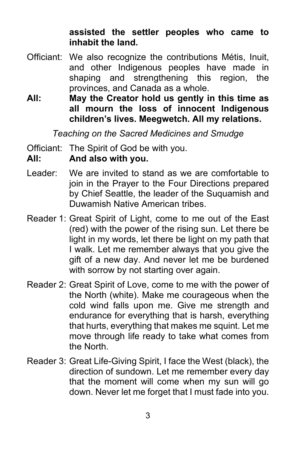#### **assisted the settler peoples who came to inhabit the land.**

- Officiant: We also recognize the contributions Métis, Inuit, and other Indigenous peoples have made in shaping and strengthening this region, the provinces, and Canada as a whole.
- **All: May the Creator hold us gently in this time as all mourn the loss of innocent Indigenous children's lives. Meegwetch. All my relations.**

*Teaching on the Sacred Medicines and Smudge*

Officiant: The Spirit of God be with you.

#### **All: And also with you.**

- Leader: We are invited to stand as we are comfortable to join in the Prayer to the Four Directions prepared by Chief Seattle, the leader of the Suquamish and Duwamish Native American tribes.
- Reader 1: Great Spirit of Light, come to me out of the East (red) with the power of the rising sun. Let there be light in my words, let there be light on my path that I walk. Let me remember always that you give the gift of a new day. And never let me be burdened with sorrow by not starting over again.
- Reader 2: Great Spirit of Love, come to me with the power of the North (white). Make me courageous when the cold wind falls upon me. Give me strength and endurance for everything that is harsh, everything that hurts, everything that makes me squint. Let me move through life ready to take what comes from the North.
- Reader 3: Great Life-Giving Spirit, I face the West (black), the direction of sundown. Let me remember every day that the moment will come when my sun will go down. Never let me forget that I must fade into you.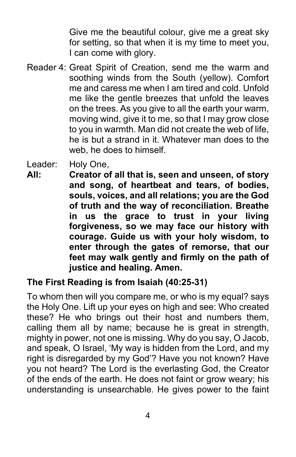Give me the beautiful colour, give me a great sky for setting, so that when it is my time to meet you, I can come with glory.

Reader 4: Great Spirit of Creation, send me the warm and soothing winds from the South (yellow). Comfort me and caress me when I am tired and cold. Unfold me like the gentle breezes that unfold the leaves on the trees. As you give to all the earth your warm, moving wind, give it to me, so that I may grow close to you in warmth. Man did not create the web of life, he is but a strand in it. Whatever man does to the web, he does to himself.

Leader: Holy One,

**All: Creator of all that is, seen and unseen, of story and song, of heartbeat and tears, of bodies, souls, voices, and all relations; you are the God of truth and the way of reconciliation. Breathe in us the grace to trust in your living forgiveness, so we may face our history with courage. Guide us with your holy wisdom, to enter through the gates of remorse, that our feet may walk gently and firmly on the path of justice and healing. Amen.**

## **The First Reading is from Isaiah (40:25-31)**

To whom then will you compare me, or who is my equal? says the Holy One. Lift up your eyes on high and see: Who created these? He who brings out their host and numbers them, calling them all by name; because he is great in strength, mighty in power, not one is missing. Why do you say, O Jacob, and speak, O Israel, 'My way is hidden from the Lord, and my right is disregarded by my God'? Have you not known? Have you not heard? The Lord is the everlasting God, the Creator of the ends of the earth. He does not faint or grow weary; his understanding is unsearchable. He gives power to the faint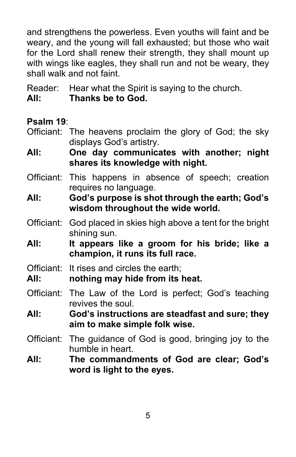and strengthens the powerless. Even youths will faint and be weary, and the young will fall exhausted; but those who wait for the Lord shall renew their strength, they shall mount up with wings like eagles, they shall run and not be weary, they shall walk and not faint.

Reader: Hear what the Spirit is saying to the church.

**All: Thanks be to God.**

**Psalm 19**:

- Officiant: The heavens proclaim the glory of God; the sky displays God's artistry.
- **All: One day communicates with another; night shares its knowledge with night.**
- Officiant: This happens in absence of speech; creation requires no language.
- **All: God's purpose is shot through the earth; God's wisdom throughout the wide world.**
- Officiant: God placed in skies high above a tent for the bright shining sun.
- **All: It appears like a groom for his bride; like a champion, it runs its full race.**
- Officiant: It rises and circles the earth;
- **All: nothing may hide from its heat.**
- Officiant: The Law of the Lord is perfect; God's teaching revives the soul.
- **All: God's instructions are steadfast and sure; they aim to make simple folk wise.**
- Officiant: The guidance of God is good, bringing joy to the humble in heart.
- **All: The commandments of God are clear; God's word is light to the eyes.**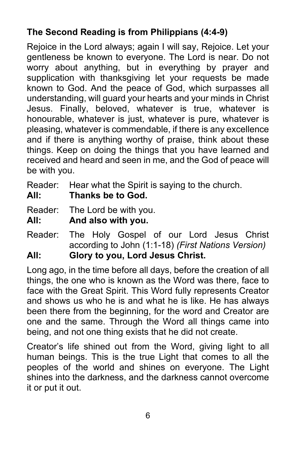# **The Second Reading is from Philippians (4:4-9)**

Rejoice in the Lord always; again I will say, Rejoice. Let your gentleness be known to everyone. The Lord is near. Do not worry about anything, but in everything by prayer and supplication with thanksgiving let your requests be made known to God. And the peace of God, which surpasses all understanding, will guard your hearts and your minds in Christ Jesus. Finally, beloved, whatever is true, whatever is honourable, whatever is just, whatever is pure, whatever is pleasing, whatever is commendable, if there is any excellence and if there is anything worthy of praise, think about these things. Keep on doing the things that you have learned and received and heard and seen in me, and the God of peace will be with you.

Reader: Hear what the Spirit is saying to the church.

**All: Thanks be to God.**

Reader: The Lord be with you.

**All: And also with you.**

Reader: The Holy Gospel of our Lord Jesus Christ according to John (1:1-18) *(First Nations Version)* **All: Glory to you, Lord Jesus Christ.**

Long ago, in the time before all days, before the creation of all things, the one who is known as the Word was there, face to face with the Great Spirit. This Word fully represents Creator and shows us who he is and what he is like. He has always been there from the beginning, for the word and Creator are one and the same. Through the Word all things came into being, and not one thing exists that he did not create.

Creator's life shined out from the Word, giving light to all human beings. This is the true Light that comes to all the peoples of the world and shines on everyone. The Light shines into the darkness, and the darkness cannot overcome it or put it out.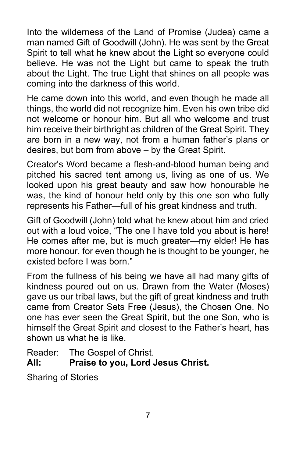Into the wilderness of the Land of Promise (Judea) came a man named Gift of Goodwill (John). He was sent by the Great Spirit to tell what he knew about the Light so everyone could believe. He was not the Light but came to speak the truth about the Light. The true Light that shines on all people was coming into the darkness of this world.

He came down into this world, and even though he made all things, the world did not recognize him. Even his own tribe did not welcome or honour him. But all who welcome and trust him receive their birthright as children of the Great Spirit. They are born in a new way, not from a human father's plans or desires, but born from above – by the Great Spirit.

Creator's Word became a flesh-and-blood human being and pitched his sacred tent among us, living as one of us. We looked upon his great beauty and saw how honourable he was, the kind of honour held only by this one son who fully represents his Father—full of his great kindness and truth.

Gift of Goodwill (John) told what he knew about him and cried out with a loud voice, "The one I have told you about is here! He comes after me, but is much greater—my elder! He has more honour, for even though he is thought to be younger, he existed before I was born "

From the fullness of his being we have all had many gifts of kindness poured out on us. Drawn from the Water (Moses) gave us our tribal laws, but the gift of great kindness and truth came from Creator Sets Free (Jesus), the Chosen One. No one has ever seen the Great Spirit, but the one Son, who is himself the Great Spirit and closest to the Father's heart, has shown us what he is like.

Reader: The Gospel of Christ.

# **All: Praise to you, Lord Jesus Christ.**

Sharing of Stories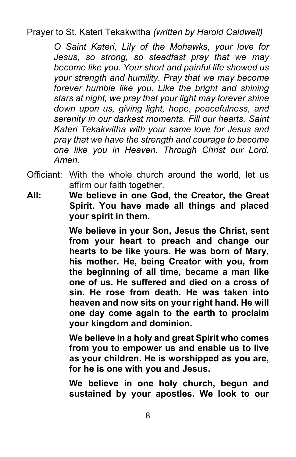Prayer to St. Kateri Tekakwitha *(written by Harold Caldwell)*

*O Saint Kateri, Lily of the Mohawks, your love for Jesus, so strong, so steadfast pray that we may become like you. Your short and painful life showed us your strength and humility. Pray that we may become forever humble like you. Like the bright and shining stars at night, we pray that your light may forever shine down upon us, giving light, hope, peacefulness, and serenity in our darkest moments. Fill our hearts, Saint Kateri Tekakwitha with your same love for Jesus and pray that we have the strength and courage to become one like you in Heaven. Through Christ our Lord. Amen.*

- Officiant: With the whole church around the world, let us affirm our faith together.
- **All: We believe in one God, the Creator, the Great Spirit. You have made all things and placed your spirit in them.**

**We believe in your Son, Jesus the Christ, sent from your heart to preach and change our hearts to be like yours. He was born of Mary, his mother. He, being Creator with you, from the beginning of all time, became a man like one of us. He suffered and died on a cross of sin. He rose from death. He was taken into heaven and now sits on your right hand. He will one day come again to the earth to proclaim your kingdom and dominion.**

**We believe in a holy and great Spirit who comes from you to empower us and enable us to live as your children. He is worshipped as you are, for he is one with you and Jesus.**

**We believe in one holy church, begun and sustained by your apostles. We look to our**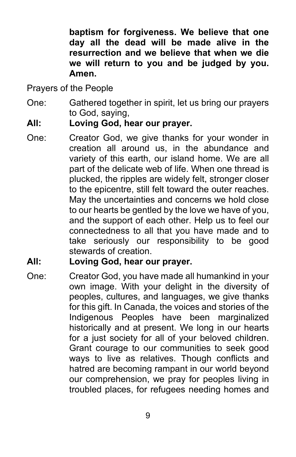**baptism for forgiveness. We believe that one day all the dead will be made alive in the resurrection and we believe that when we die we will return to you and be judged by you. Amen.**

Prayers of the People

One: Gathered together in spirit, let us bring our prayers to God, saying,

#### **All: Loving God, hear our prayer.**

One: Creator God, we give thanks for your wonder in creation all around us, in the abundance and variety of this earth, our island home. We are all part of the delicate web of life. When one thread is plucked, the ripples are widely felt, stronger closer to the epicentre, still felt toward the outer reaches. May the uncertainties and concerns we hold close to our hearts be gentled by the love we have of you, and the support of each other. Help us to feel our connectedness to all that you have made and to take seriously our responsibility to be good stewards of creation.

#### **All: Loving God, hear our prayer.**

One: Creator God, you have made all humankind in your own image. With your delight in the diversity of peoples, cultures, and languages, we give thanks for this gift. In Canada, the voices and stories of the Indigenous Peoples have been marginalized historically and at present. We long in our hearts for a just society for all of your beloved children. Grant courage to our communities to seek good ways to live as relatives. Though conflicts and hatred are becoming rampant in our world beyond our comprehension, we pray for peoples living in troubled places, for refugees needing homes and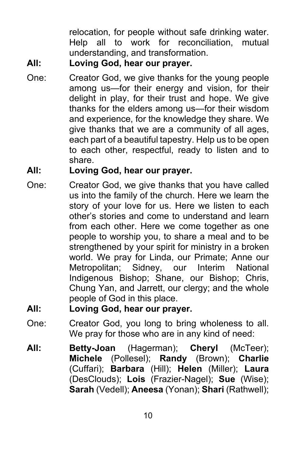relocation, for people without safe drinking water. Help all to work for reconciliation, mutual understanding, and transformation.

# **All: Loving God, hear our prayer.**

One: Creator God, we give thanks for the young people among us—for their energy and vision, for their delight in play, for their trust and hope. We give thanks for the elders among us—for their wisdom and experience, for the knowledge they share. We give thanks that we are a community of all ages, each part of a beautiful tapestry. Help us to be open to each other, respectful, ready to listen and to share.

## **All: Loving God, hear our prayer.**

One: Creator God, we give thanks that you have called us into the family of the church. Here we learn the story of your love for us. Here we listen to each other's stories and come to understand and learn from each other. Here we come together as one people to worship you, to share a meal and to be strengthened by your spirit for ministry in a broken world. We pray for Linda, our Primate; Anne our Metropolitan; Sidney, our Interim National Indigenous Bishop; Shane, our Bishop; Chris, Chung Yan, and Jarrett, our clergy; and the whole people of God in this place.

## **All: Loving God, hear our prayer.**

- One: Creator God, you long to bring wholeness to all. We pray for those who are in any kind of need:
- **All: Betty-Joan** (Hagerman); **Cheryl** (McTeer); **Michele** (Pollesel); **Randy** (Brown); **Charlie**  (Cuffari); **Barbara** (Hill); **Helen** (Miller); **Laura** (DesClouds); **Lois** (Frazier-Nagel); **Sue** (Wise); **Sarah** (Vedell); **Aneesa** (Yonan); **Shari** (Rathwell);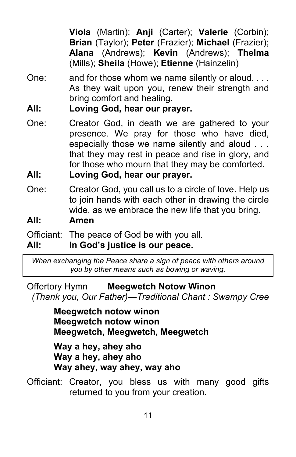**Viola** (Martin); **Anji** (Carter); **Valerie** (Corbin); **Brian** (Taylor); **Peter** (Frazier); **Michael** (Frazier); **Alana** (Andrews); **Kevin** (Andrews); **Thelma**  (Mills); **Sheila** (Howe); **Etienne** (Hainzelin)

- One: and for those whom we name silently or aloud. . . . As they wait upon you, renew their strength and bring comfort and healing.
- **All: Loving God, hear our prayer.**
- One: Creator God, in death we are gathered to your presence. We pray for those who have died, especially those we name silently and aloud . . . that they may rest in peace and rise in glory, and for those who mourn that they may be comforted.
- **All: Loving God, hear our prayer.**
- One: Creator God, you call us to a circle of love. Help us to join hands with each other in drawing the circle wide, as we embrace the new life that you bring.

## **All: Amen**

Officiant: The peace of God be with you all.

## **All: In God's justice is our peace.**

*When exchanging the Peace share a sign of peace with others around you by other means such as bowing or waving.*

Offertory Hymn **Meegwetch Notow Winon** *(Thank you, Our Father)—Traditional Chant : Swampy Cree*

> **Meegwetch notow winon Meegwetch notow winon Meegwetch, Meegwetch, Meegwetch**

**Way a hey, ahey aho Way a hey, ahey aho Way ahey, way ahey, way aho**

Officiant: Creator, you bless us with many good gifts returned to you from your creation.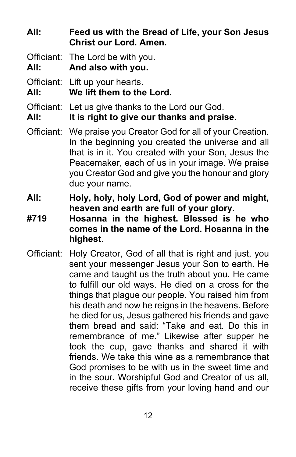**All: Feed us with the Bread of Life, your Son Jesus Christ our Lord. Amen.**

Officiant: The Lord be with you.

**All: And also with you.**

Officiant: Lift up your hearts.

**All: We lift them to the Lord.**

Officiant: Let us give thanks to the Lord our God.

**All: It is right to give our thanks and praise.**

- Officiant: We praise you Creator God for all of your Creation. In the beginning you created the universe and all that is in it. You created with your Son, Jesus the Peacemaker, each of us in your image. We praise you Creator God and give you the honour and glory due your name.
- **All: Holy, holy, holy Lord, God of power and might, heaven and earth are full of your glory.**
- **#719 Hosanna in the highest. Blessed is he who comes in the name of the Lord. Hosanna in the highest.**
- Officiant: Holy Creator, God of all that is right and just, you sent your messenger Jesus your Son to earth. He came and taught us the truth about you. He came to fulfill our old ways. He died on a cross for the things that plague our people. You raised him from his death and now he reigns in the heavens. Before he died for us, Jesus gathered his friends and gave them bread and said: "Take and eat. Do this in remembrance of me." Likewise after supper he took the cup, gave thanks and shared it with friends. We take this wine as a remembrance that God promises to be with us in the sweet time and in the sour. Worshipful God and Creator of us all, receive these gifts from your loving hand and our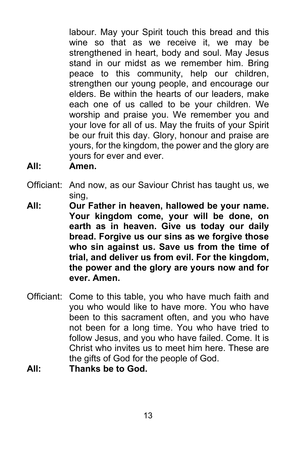labour. May your Spirit touch this bread and this wine so that as we receive it, we may be strengthened in heart, body and soul. May Jesus stand in our midst as we remember him. Bring peace to this community, help our children, strengthen our young people, and encourage our elders. Be within the hearts of our leaders, make each one of us called to be your children. We worship and praise you. We remember you and your love for all of us. May the fruits of your Spirit be our fruit this day. Glory, honour and praise are yours, for the kingdom, the power and the glory are yours for ever and ever.

**All: Amen.**

- Officiant: And now, as our Saviour Christ has taught us, we sing,
- **All: Our Father in heaven, hallowed be your name. Your kingdom come, your will be done, on earth as in heaven. Give us today our daily bread. Forgive us our sins as we forgive those who sin against us. Save us from the time of trial, and deliver us from evil. For the kingdom, the power and the glory are yours now and for ever. Amen.**
- Officiant: Come to this table, you who have much faith and you who would like to have more. You who have been to this sacrament often, and you who have not been for a long time. You who have tried to follow Jesus, and you who have failed. Come. It is Christ who invites us to meet him here. These are the gifts of God for the people of God.
- **All: Thanks be to God.**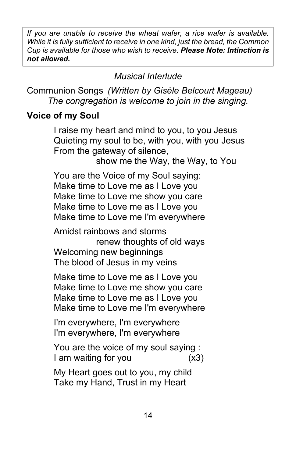*If you are unable to receive the wheat wafer, a rice wafer is available. While it is fully sufficient to receive in one kind, just the bread, the Common Cup is available for those who wish to receive. Please Note: Intinction is not allowed.*

*Musical Interlude*

Communion Songs *(Written by Gisèle Belcourt Mageau) The congregation is welcome to join in the singing.*

## **Voice of my Soul**

I raise my heart and mind to you, to you Jesus Quieting my soul to be, with you, with you Jesus From the gateway of silence,

show me the Way, the Way, to You

You are the Voice of my Soul saying: Make time to Love me as I Love you Make time to Love me show you care Make time to Love me as I Love you Make time to Love me I'm everywhere

Amidst rainbows and storms renew thoughts of old ways Welcoming new beginnings The blood of Jesus in my veins

Make time to Love me as I Love you Make time to Love me show you care Make time to Love me as I Love you Make time to Love me I'm everywhere

I'm everywhere, I'm everywhere I'm everywhere, I'm everywhere

You are the voice of my soul saying : I am waiting for you (x3)

My Heart goes out to you, my child Take my Hand, Trust in my Heart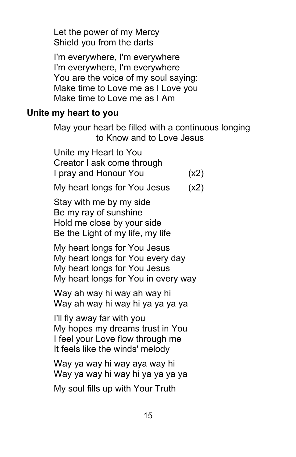Let the power of my Mercy Shield you from the darts

I'm everywhere, I'm everywhere I'm everywhere, I'm everywhere You are the voice of my soul saying: Make time to Love me as I Love you Make time to Love me as I Am

#### **Unite my heart to you**

May your heart be filled with a continuous longing to Know and to Love Jesus

Unite my Heart to You Creator I ask come through I pray and Honour You (x2)

My heart longs for You Jesus (x2)

Stay with me by my side Be my ray of sunshine Hold me close by your side Be the Light of my life, my life

My heart longs for You Jesus My heart longs for You every day My heart longs for You Jesus My heart longs for You in every way

Way ah way hi way ah way hi Way ah way hi way hi ya ya ya ya

I'll fly away far with you My hopes my dreams trust in You I feel your Love flow through me It feels like the winds' melody

Way ya way hi way aya way hi Way ya way hi way hi ya ya ya ya

My soul fills up with Your Truth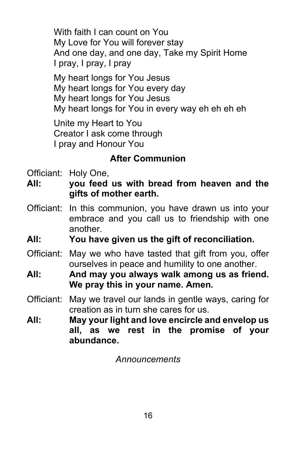With faith I can count on You My Love for You will forever stay And one day, and one day, Take my Spirit Home I pray, I pray, I pray

My heart longs for You Jesus My heart longs for You every day My heart longs for You Jesus My heart longs for You in every way eh eh eh eh

Unite my Heart to You Creator I ask come through I pray and Honour You

## **After Communion**

Officiant: Holy One,

**All: you feed us with bread from heaven and the gifts of mother earth.**

- Officiant: In this communion, you have drawn us into your embrace and you call us to friendship with one another.
- **All: You have given us the gift of reconciliation.**
- Officiant: May we who have tasted that gift from you, offer ourselves in peace and humility to one another.
- **All: And may you always walk among us as friend. We pray this in your name. Amen.**
- Officiant: May we travel our lands in gentle ways, caring for creation as in turn she cares for us.
- **All: May your light and love encircle and envelop us all, as we rest in the promise of your abundance.**

*Announcements*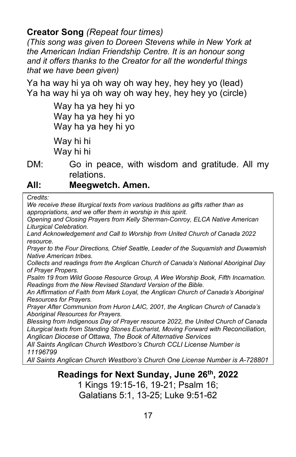#### **Creator Song** *(Repeat four times)*

*(This song was given to Doreen Stevens while in New York at the American Indian Friendship Centre. It is an honour song and it offers thanks to the Creator for all the wonderful things that we have been given)*

Ya ha way hi ya oh way oh way hey, hey hey yo (lead) Ya ha way hi ya oh way oh way hey, hey hey yo (circle)

> Way ha ya hey hi yo Way ha ya hey hi yo Way ha ya hey hi yo Way hi hi Way hi hi

DM: Go in peace, with wisdom and gratitude. All my relations.

#### **All: Meegwetch. Amen.**

*Credits:*

*We receive these liturgical texts from various traditions as gifts rather than as appropriations, and we offer them in worship in this spirit.* 

*Opening and Closing Prayers from Kelly Sherman-Conroy, ELCA Native American Liturgical Celebration.*

*Land Acknowledgement and Call to Worship from United Church of Canada 2022 resource.*

*Prayer to the Four Directions, Chief Seattle, Leader of the Suquamish and Duwamish Native American tribes.*

*Collects and readings from the Anglican Church of Canada's National Aboriginal Day of Prayer Propers.*

*Psalm 19 from Wild Goose Resource Group, A Wee Worship Book, Fifth Incarnation. Readings from the New Revised Standard Version of the Bible.*

*An Affirmation of Faith from Mark Loyal, the Anglican Church of Canada's Aboriginal Resources for Prayers.*

*Prayer After Communion from Huron LAIC, 2001, the Anglican Church of Canada's Aboriginal Resources for Prayers.*

*Blessing from Indigenous Day of Prayer resource 2022, the United Church of Canada Liturgical texts from Standing Stones Eucharist, Moving Forward with Reconciliation, Anglican Diocese of Ottawa, The Book of Alternative Services*

*All Saints Anglican Church Westboro's Church CCLI License Number is 11196799*

*All Saints Anglican Church Westboro's Church One License Number is A-728801*

#### **Readings for Next Sunday, June 26th, 2022** 1 Kings 19:15-16, 19-21; Psalm 16; Galatians 5:1, 13-25; Luke 9:51-62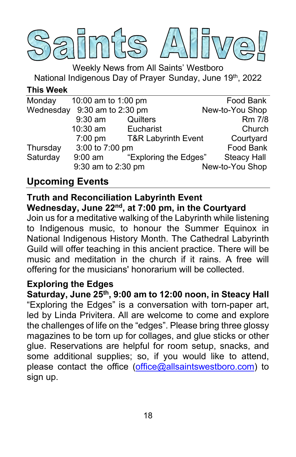

Weekly News from All Saints' Westboro National Indigenous Day of Prayer Sunday, June 19th, 2022

#### **This Week**

| Monday   | 10:00 am to 1:00 pm          |                                | Food Bank          |
|----------|------------------------------|--------------------------------|--------------------|
|          | Wednesday 9:30 am to 2:30 pm |                                | New-to-You Shop    |
|          | $9:30$ am                    | Quilters                       | Rm 7/8             |
|          | 10:30 am                     | Eucharist                      | Church             |
|          | $7:00$ pm                    | <b>T&amp;R Labyrinth Event</b> | Courtyard          |
| Thursday | 3:00 to 7:00 pm              |                                | Food Bank          |
| Saturday | $9:00$ am                    | "Exploring the Edges"          | <b>Steacy Hall</b> |
|          | 9:30 am to 2:30 pm           |                                | New-to-You Shop    |
|          |                              |                                |                    |

# **Upcoming Events**

#### **Truth and Reconciliation Labyrinth Event Wednesday, June 22nd, at 7:00 pm, in the Courtyard**

Join us for a meditative walking of the Labyrinth while listening to Indigenous music, to honour the Summer Equinox in National Indigenous History Month. The Cathedral Labyrinth Guild will offer teaching in this ancient practice. There will be music and meditation in the church if it rains. A free will offering for the musicians' honorarium will be collected.

## **Exploring the Edges**

**Saturday, June 25th, 9:00 am to 12:00 noon, in Steacy Hall** "Exploring the Edges" is a conversation with torn-paper art, led by Linda Privitera. All are welcome to come and explore the challenges of life on the "edges". Please bring three glossy magazines to be torn up for collages, and glue sticks or other glue. Reservations are helpful for room setup, snacks, and some additional supplies; so, if you would like to attend, please contact the office [\(office@allsaintswestboro.com\)](mailto:office@allsaintswestboro.com) to sign up.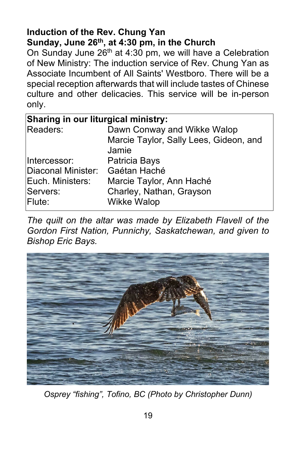## **Induction of the Rev. Chung Yan Sunday, June 26th, at 4:30 pm, in the Church**

On Sunday June  $26<sup>th</sup>$  at 4:30 pm, we will have a Celebration of New Ministry: The induction service of Rev. Chung Yan as Associate Incumbent of All Saints' Westboro. There will be a special reception afterwards that will include tastes of Chinese culture and other delicacies. This service will be in-person only.

| Sharing in our liturgical ministry: |                                        |  |  |
|-------------------------------------|----------------------------------------|--|--|
| Readers:                            | Dawn Conway and Wikke Walop            |  |  |
|                                     | Marcie Taylor, Sally Lees, Gideon, and |  |  |
|                                     | Jamie                                  |  |  |
| Intercessor:                        | Patricia Bays                          |  |  |
| Diaconal Minister:                  | Gaétan Haché                           |  |  |
| Euch. Ministers:                    | Marcie Taylor, Ann Haché               |  |  |
| Servers:                            | Charley, Nathan, Grayson               |  |  |
| Flute:                              | <b>Wikke Walop</b>                     |  |  |

*The quilt on the altar was made by Elizabeth Flavell of the Gordon First Nation, Punnichy, Saskatchewan, and given to Bishop Eric Bays.*



*Osprey "fishing", Tofino, BC (Photo by Christopher Dunn)*